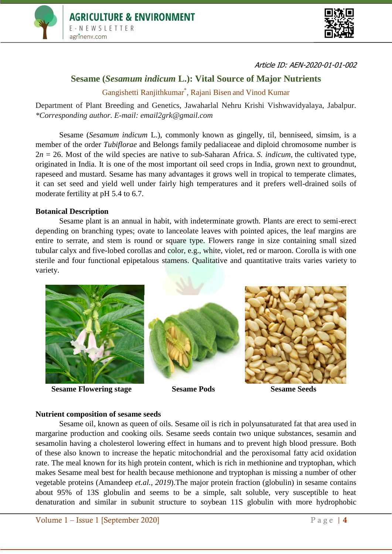



Article ID: AEN-2020-01-01-002

# **Sesame (***Sesamum indicum* **L.): Vital Source of Major Nutrients**

Gangishetti Ranjithkumar\* , Rajani Bisen and Vinod Kumar

Department of Plant Breeding and Genetics, Jawaharlal Nehru Krishi Vishwavidyalaya, Jabalpur. *\*Corresponding author. E-mail: [email2grk@gmail.com](mailto:email2grk@gmail.com)*

Sesame (*Sesamum indicum* L.), commonly known as gingelly, til, benniseed, simsim, is a member of the order *Tubiflorae* and Belongs family pedaliaceae and diploid chromosome number is  $2n = 26$ . Most of the wild species are native to sub-Saharan Africa. *S. indicum*, the cultivated type, originated in India. It is one of the most important oil seed crops in India, grown next to groundnut, rapeseed and mustard. Sesame has many advantages it grows well in tropical to temperate climates, it can set seed and yield well under fairly high temperatures and it prefers well-drained soils of moderate fertility at pH 5.4 to 6.7.

### **Botanical Description**

Sesame plant is an annual in habit, with indeterminate growth. Plants are erect to semi-erect depending on branching types; ovate to lanceolate leaves with pointed apices, the leaf margins are entire to serrate, and stem is round or square type. Flowers range in size containing small sized tubular calyx and five-lobed corollas and color, e.g., white, violet, red or maroon. Corolla is with one sterile and four functional epipetalous stamens. Qualitative and quantitative traits varies variety to variety.



**Sesame Flowering stage Sesame Pods Sesame Seeds** 







### **Nutrient composition of sesame seeds**

Sesame oil, known as queen of oils. Sesame oil is rich in polyunsaturated fat that area used in margarine production and cooking oils. Sesame seeds contain two unique substances, sesamin and sesamolin having a cholesterol lowering effect in humans and to prevent high blood pressure. Both of these also known to increase the hepatic mitochondrial and the peroxisomal fatty acid oxidation rate. The meal known for its high protein content, which is rich in methionine and tryptophan, which makes Sesame meal best for health because methionone and tryptophan is missing a number of other vegetable proteins (Amandeep *et.al., 2019*).The major protein fraction (globulin) in sesame contains about 95% of 13S globulin and seems to be a simple, salt soluble, very susceptible to heat denaturation and similar in subunit structure to soybean 11S globulin with more hydrophobic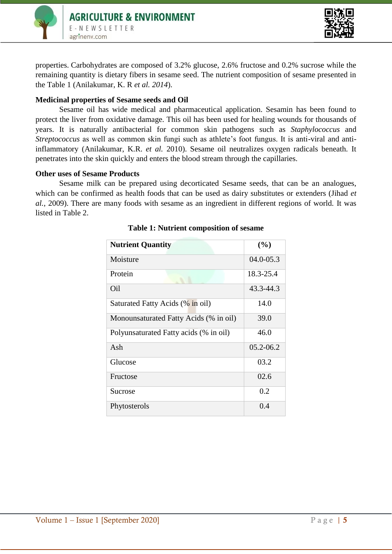



properties. Carbohydrates are composed of 3.2% glucose, 2.6% fructose and 0.2% sucrose while the remaining quantity is dietary fibers in sesame seed. The nutrient composition of sesame presented in the Table 1 (Anilakumar, K. R *et al. 2014*).

## **Medicinal properties of Sesame seeds and Oil**

Sesame oil has wide medical and pharmaceutical application. Sesamin has been found to protect the liver from oxidative damage. This oil has been used for healing wounds for thousands of years. It is naturally antibacterial for common skin pathogens such as *Staphylococcus* and *Streptococcus* as well as common skin fungi such as athlete's foot fungus. It is anti-viral and antiinflammatory (Anilakumar, K.R. *et al.* 2010). Sesame oil neutralizes oxygen radicals beneath. It penetrates into the skin quickly and enters the blood stream through the capillaries.

## **Other uses of Sesame Products**

Sesame milk can be prepared using decorticated Sesame seeds, that can be an analogues, which can be confirmed as health foods that can be used as dairy substitutes or extenders (Jihad *et al.*, 2009). There are many foods with sesame as an ingredient in different regions of world. It was listed in Table 2.

| <b>Nutrient Quantity</b>               | (%)           |
|----------------------------------------|---------------|
|                                        |               |
| Moisture                               | $04.0 - 05.3$ |
| Protein                                | 18.3-25.4     |
| Oil                                    | 43.3-44.3     |
| Saturated Fatty Acids (% in oil)       | 14.0          |
| Monounsaturated Fatty Acids (% in oil) | 39.0          |
| Polyunsaturated Fatty acids (% in oil) | 46.0          |
| Ash                                    | $05.2 - 06.2$ |
| Glucose                                | 03.2          |
| Fructose                               | 02.6          |
| Sucrose                                | 0.2           |
| Phytosterols                           | 0.4           |

## **Table 1: Nutrient composition of sesame**